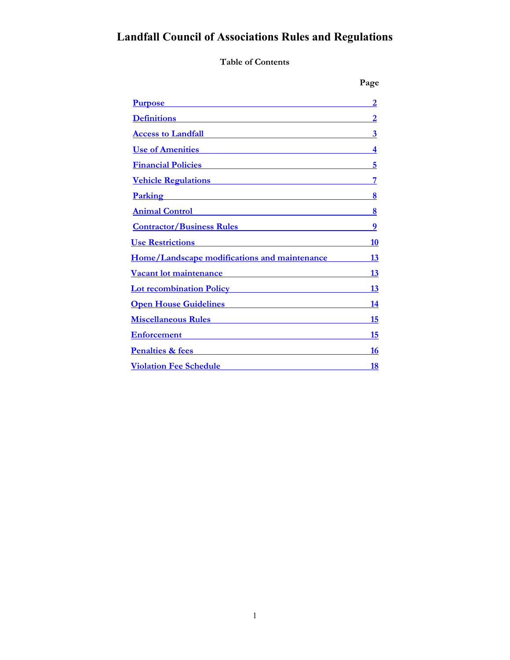# **Landfall Council of Associations Rules and Regulations**

**Table of Contents**

| <u>Purpose</u>                                                                                                                                                                                                                            | 2                |
|-------------------------------------------------------------------------------------------------------------------------------------------------------------------------------------------------------------------------------------------|------------------|
| <b>Definitions</b>                                                                                                                                                                                                                        | 2                |
| <b>Access to Landfall</b>                                                                                                                                                                                                                 | $\boldsymbol{3}$ |
| <b>Use of Amenities</b>                                                                                                                                                                                                                   | 4                |
| <b>Financial Policies Exercísion Financial Policies</b>                                                                                                                                                                                   | 5                |
| <u>Vehicle Regulations</u>                                                                                                                                                                                                                | 7                |
| <u>Parking residence</u>                                                                                                                                                                                                                  | 8                |
| <b>Animal Control</b>                                                                                                                                                                                                                     | 8                |
| <u>Contractor/Business Rules</u>                                                                                                                                                                                                          | 9                |
| <b>Use Restrictions</b>                                                                                                                                                                                                                   | 10               |
| Home/Landscape modifications and maintenance                                                                                                                                                                                              | 13               |
| <b>Vacant lot maintenance</b>                                                                                                                                                                                                             | 13               |
| <b>Lot recombination Policy</b>                                                                                                                                                                                                           | 13               |
| <u>Open House Guidelines</u> <b>Constanting Constanting Constanting Constanting Constanting Constanting Constanting Constanting Constanting Constanting Constanting Constanting Constanting Constanting Constanting Constanting Const</b> | 14               |
| <b>Miscellaneous Rules</b>                                                                                                                                                                                                                | 15               |
| <b>Enforcement</b>                                                                                                                                                                                                                        | 15               |
| <b>Penalties &amp; fees</b>                                                                                                                                                                                                               | 16               |
| <b>Violation Fee Schedule</b>                                                                                                                                                                                                             | 18               |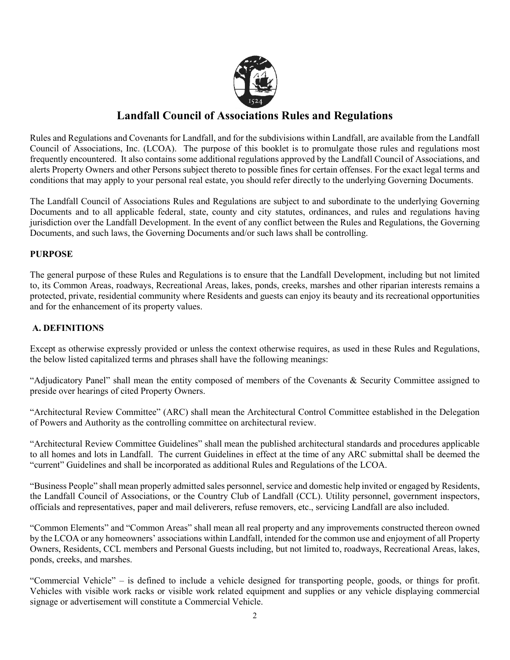

## **Landfall Council of Associations Rules and Regulations**

Rules and Regulations and Covenants for Landfall, and for the subdivisions within Landfall, are available from the Landfall Council of Associations, Inc. (LCOA). The purpose of this booklet is to promulgate those rules and regulations most frequently encountered. It also contains some additional regulations approved by the Landfall Council of Associations, and alerts Property Owners and other Persons subject thereto to possible fines for certain offenses. For the exact legal terms and conditions that may apply to your personal real estate, you should refer directly to the underlying Governing Documents.

The Landfall Council of Associations Rules and Regulations are subject to and subordinate to the underlying Governing Documents and to all applicable federal, state, county and city statutes, ordinances, and rules and regulations having jurisdiction over the Landfall Development. In the event of any conflict between the Rules and Regulations, the Governing Documents, and such laws, the Governing Documents and/or such laws shall be controlling.

#### <span id="page-1-0"></span>**PURPOSE**

The general purpose of these Rules and Regulations is to ensure that the Landfall Development, including but not limited to, its Common Areas, roadways, Recreational Areas, lakes, ponds, creeks, marshes and other riparian interests remains a protected, private, residential community where Residents and guests can enjoy its beauty and its recreational opportunities and for the enhancement of its property values.

#### <span id="page-1-1"></span>**A. DEFINITIONS**

Except as otherwise expressly provided or unless the context otherwise requires, as used in these Rules and Regulations, the below listed capitalized terms and phrases shall have the following meanings:

"Adjudicatory Panel" shall mean the entity composed of members of the Covenants & Security Committee assigned to preside over hearings of cited Property Owners.

"Architectural Review Committee" (ARC) shall mean the Architectural Control Committee established in the Delegation of Powers and Authority as the controlling committee on architectural review.

"Architectural Review Committee Guidelines" shall mean the published architectural standards and procedures applicable to all homes and lots in Landfall. The current Guidelines in effect at the time of any ARC submittal shall be deemed the "current" Guidelines and shall be incorporated as additional Rules and Regulations of the LCOA.

"Business People" shall mean properly admitted sales personnel, service and domestic help invited or engaged by Residents, the Landfall Council of Associations, or the Country Club of Landfall (CCL). Utility personnel, government inspectors, officials and representatives, paper and mail deliverers, refuse removers, etc., servicing Landfall are also included.

"Common Elements" and "Common Areas" shall mean all real property and any improvements constructed thereon owned by the LCOA or any homeowners' associations within Landfall, intended for the common use and enjoyment of all Property Owners, Residents, CCL members and Personal Guests including, but not limited to, roadways, Recreational Areas, lakes, ponds, creeks, and marshes.

"Commercial Vehicle" – is defined to include a vehicle designed for transporting people, goods, or things for profit. Vehicles with visible work racks or visible work related equipment and supplies or any vehicle displaying commercial signage or advertisement will constitute a Commercial Vehicle.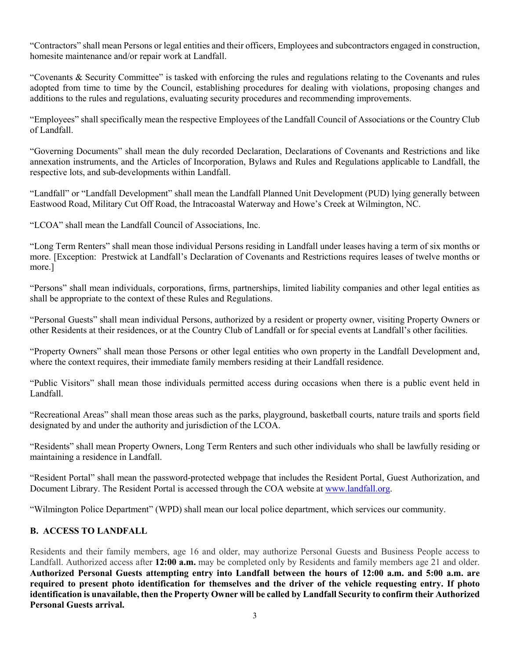"Contractors" shall mean Persons or legal entities and their officers, Employees and subcontractors engaged in construction, homesite maintenance and/or repair work at Landfall.

"Covenants & Security Committee" is tasked with enforcing the rules and regulations relating to the Covenants and rules adopted from time to time by the Council, establishing procedures for dealing with violations, proposing changes and additions to the rules and regulations, evaluating security procedures and recommending improvements.

"Employees" shall specifically mean the respective Employees of the Landfall Council of Associations or the Country Club of Landfall.

"Governing Documents" shall mean the duly recorded Declaration, Declarations of Covenants and Restrictions and like annexation instruments, and the Articles of Incorporation, Bylaws and Rules and Regulations applicable to Landfall, the respective lots, and sub-developments within Landfall.

"Landfall" or "Landfall Development" shall mean the Landfall Planned Unit Development (PUD) lying generally between Eastwood Road, Military Cut Off Road, the Intracoastal Waterway and Howe's Creek at Wilmington, NC.

"LCOA" shall mean the Landfall Council of Associations, Inc.

"Long Term Renters" shall mean those individual Persons residing in Landfall under leases having a term of six months or more. [Exception: Prestwick at Landfall's Declaration of Covenants and Restrictions requires leases of twelve months or more.]

"Persons" shall mean individuals, corporations, firms, partnerships, limited liability companies and other legal entities as shall be appropriate to the context of these Rules and Regulations.

"Personal Guests" shall mean individual Persons, authorized by a resident or property owner, visiting Property Owners or other Residents at their residences, or at the Country Club of Landfall or for special events at Landfall's other facilities.

"Property Owners" shall mean those Persons or other legal entities who own property in the Landfall Development and, where the context requires, their immediate family members residing at their Landfall residence.

"Public Visitors" shall mean those individuals permitted access during occasions when there is a public event held in Landfall.

"Recreational Areas" shall mean those areas such as the parks, playground, basketball courts, nature trails and sports field designated by and under the authority and jurisdiction of the LCOA.

"Residents" shall mean Property Owners, Long Term Renters and such other individuals who shall be lawfully residing or maintaining a residence in Landfall.

"Resident Portal" shall mean the password-protected webpage that includes the Resident Portal, Guest Authorization, and Document Library. The Resident Portal is accessed through the COA website a[t www.landfall.org.](http://www.landfall.org/)

"Wilmington Police Department" (WPD) shall mean our local police department, which services our community.

## <span id="page-2-0"></span>**B. ACCESS TO LANDFALL**

Residents and their family members, age 16 and older, may authorize Personal Guests and Business People access to Landfall. Authorized access after **12:00 a.m.** may be completed only by Residents and family members age 21 and older. **Authorized Personal Guests attempting entry into Landfall between the hours of 12:00 a.m. and 5:00 a.m. are required to present photo identification for themselves and the driver of the vehicle requesting entry. If photo identification is unavailable, then the Property Owner will be called by Landfall Security to confirm their Authorized Personal Guests arrival.**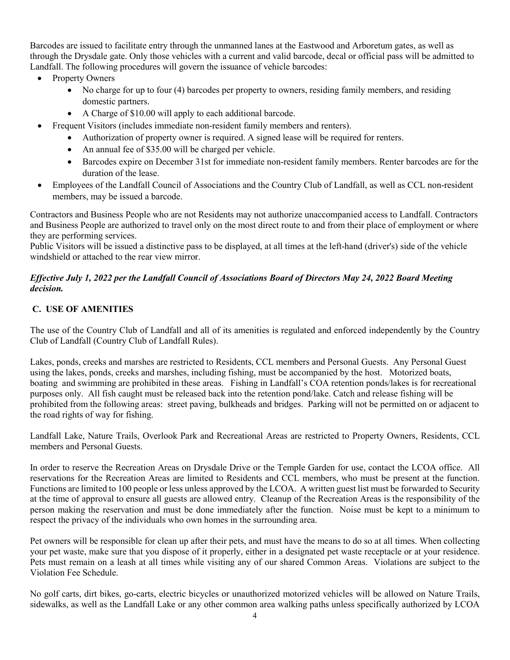Barcodes are issued to facilitate entry through the unmanned lanes at the Eastwood and Arboretum gates, as well as through the Drysdale gate. Only those vehicles with a current and valid barcode, decal or official pass will be admitted to Landfall. The following procedures will govern the issuance of vehicle barcodes:

- Property Owners
	- No charge for up to four (4) barcodes per property to owners, residing family members, and residing domestic partners.
	- A Charge of \$10.00 will apply to each additional barcode.
- Frequent Visitors (includes immediate non-resident family members and renters).
	- Authorization of property owner is required. A signed lease will be required for renters.
	- An annual fee of \$35.00 will be charged per vehicle.
	- Barcodes expire on December 31st for immediate non-resident family members. Renter barcodes are for the duration of the lease.
- Employees of the Landfall Council of Associations and the Country Club of Landfall, as well as CCL non-resident members, may be issued a barcode.

Contractors and Business People who are not Residents may not authorize unaccompanied access to Landfall. Contractors and Business People are authorized to travel only on the most direct route to and from their place of employment or where they are performing services.

Public Visitors will be issued a distinctive pass to be displayed, at all times at the left-hand (driver's) side of the vehicle windshield or attached to the rear view mirror.

#### *Effective July 1, 2022 per the Landfall Council of Associations Board of Directors May 24, 2022 Board Meeting decision.*

## <span id="page-3-0"></span>**C. USE OF AMENITIES**

The use of the Country Club of Landfall and all of its amenities is regulated and enforced independently by the Country Club of Landfall (Country Club of Landfall Rules).

Lakes, ponds, creeks and marshes are restricted to Residents, CCL members and Personal Guests. Any Personal Guest using the lakes, ponds, creeks and marshes, including fishing, must be accompanied by the host. Motorized boats, boating and swimming are prohibited in these areas. Fishing in Landfall's COA retention ponds/lakes is for recreational purposes only. All fish caught must be released back into the retention pond/lake. Catch and release fishing will be prohibited from the following areas: street paving, bulkheads and bridges. Parking will not be permitted on or adjacent to the road rights of way for fishing.

Landfall Lake, Nature Trails, Overlook Park and Recreational Areas are restricted to Property Owners, Residents, CCL members and Personal Guests.

In order to reserve the Recreation Areas on Drysdale Drive or the Temple Garden for use, contact the LCOA office. All reservations for the Recreation Areas are limited to Residents and CCL members, who must be present at the function. Functions are limited to 100 people or less unless approved by the LCOA. A written guest list must be forwarded to Security at the time of approval to ensure all guests are allowed entry. Cleanup of the Recreation Areas is the responsibility of the person making the reservation and must be done immediately after the function. Noise must be kept to a minimum to respect the privacy of the individuals who own homes in the surrounding area.

Pet owners will be responsible for clean up after their pets, and must have the means to do so at all times. When collecting your pet waste, make sure that you dispose of it properly, either in a designated pet waste receptacle or at your residence. Pets must remain on a leash at all times while visiting any of our shared Common Areas. Violations are subject to the Violation Fee Schedule.

No golf carts, dirt bikes, go-carts, electric bicycles or unauthorized motorized vehicles will be allowed on Nature Trails, sidewalks, as well as the Landfall Lake or any other common area walking paths unless specifically authorized by LCOA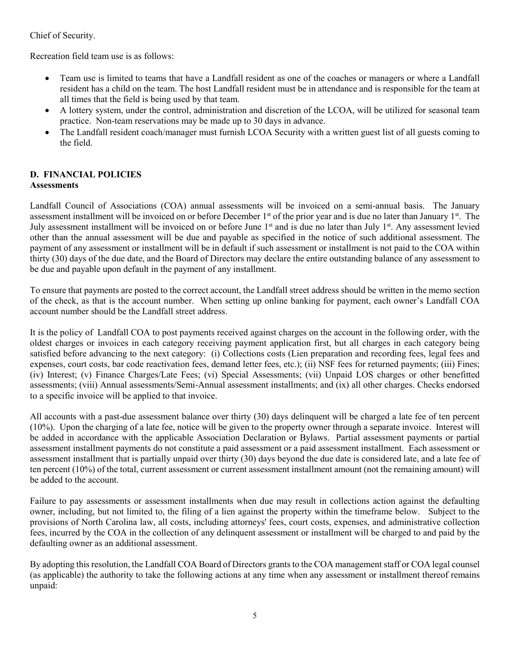## Chief of Security.

Recreation field team use is as follows:

- Team use is limited to teams that have a Landfall resident as one of the coaches or managers or where a Landfall resident has a child on the team. The host Landfall resident must be in attendance and is responsible for the team at all times that the field is being used by that team.
- A lottery system, under the control, administration and discretion of the LCOA, will be utilized for seasonal team practice. Non-team reservations may be made up to 30 days in advance.
- The Landfall resident coach/manager must furnish LCOA Security with a written guest list of all guests coming to the field.

#### <span id="page-4-0"></span>**D. FINANCIAL POLICIES Assessments**

Landfall Council of Associations (COA) annual assessments will be invoiced on a semi-annual basis. The January assessment installment will be invoiced on or before December 1<sup>st</sup> of the prior year and is due no later than January 1<sup>st</sup>. The July assessment installment will be invoiced on or before June  $1<sup>st</sup>$  and is due no later than July  $1<sup>st</sup>$ . Any assessment levied other than the annual assessment will be due and payable as specified in the notice of such additional assessment. The payment of any assessment or installment will be in default if such assessment or installment is not paid to the COA within thirty (30) days of the due date, and the Board of Directors may declare the entire outstanding balance of any assessment to be due and payable upon default in the payment of any installment.

To ensure that payments are posted to the correct account, the Landfall street address should be written in the memo section of the check, as that is the account number. When setting up online banking for payment, each owner's Landfall COA account number should be the Landfall street address.

It is the policy of Landfall COA to post payments received against charges on the account in the following order, with the oldest charges or invoices in each category receiving payment application first, but all charges in each category being satisfied before advancing to the next category: (i) Collections costs (Lien preparation and recording fees, legal fees and expenses, court costs, bar code reactivation fees, demand letter fees, etc.); (ii) NSF fees for returned payments; (iii) Fines; (iv) Interest; (v) Finance Charges/Late Fees; (vi) Special Assessments; (vii) Unpaid LOS charges or other benefitted assessments; (viii) Annual assessments/Semi-Annual assessment installments; and (ix) all other charges. Checks endorsed to a specific invoice will be applied to that invoice.

All accounts with a past-due assessment balance over thirty (30) days delinquent will be charged a late fee of ten percent (10%). Upon the charging of a late fee, notice will be given to the property owner through a separate invoice. Interest will be added in accordance with the applicable Association Declaration or Bylaws. Partial assessment payments or partial assessment installment payments do not constitute a paid assessment or a paid assessment installment. Each assessment or assessment installment that is partially unpaid over thirty (30) days beyond the due date is considered late, and a late fee of ten percent (10%) of the total, current assessment or current assessment installment amount (not the remaining amount) will be added to the account.

Failure to pay assessments or assessment installments when due may result in collections action against the defaulting owner, including, but not limited to, the filing of a lien against the property within the timeframe below. Subject to the provisions of North Carolina law, all costs, including attorneys' fees, court costs, expenses, and administrative collection fees, incurred by the COA in the collection of any delinquent assessment or installment will be charged to and paid by the defaulting owner as an additional assessment.

By adopting this resolution, the Landfall COA Board of Directors grants to the COA management staff or COA legal counsel (as applicable) the authority to take the following actions at any time when any assessment or installment thereof remains unpaid: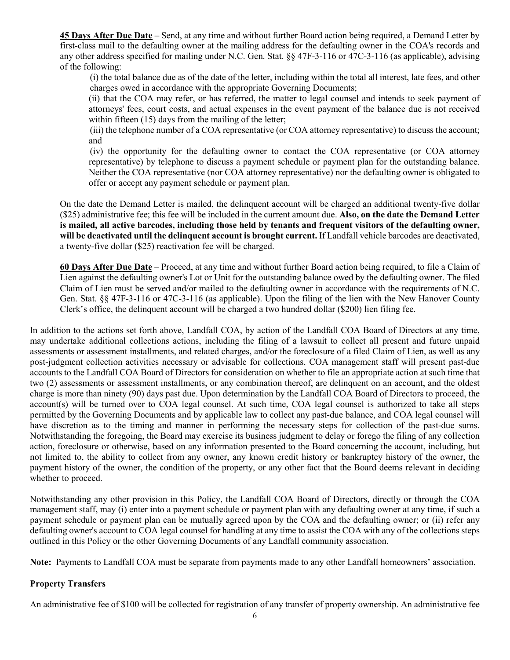**45 Days After Due Date** – Send, at any time and without further Board action being required, a Demand Letter by first-class mail to the defaulting owner at the mailing address for the defaulting owner in the COA's records and any other address specified for mailing under N.C. Gen. Stat. §§ 47F-3-116 or 47C-3-116 (as applicable), advising of the following:

(i) the total balance due as of the date of the letter, including within the total all interest, late fees, and other charges owed in accordance with the appropriate Governing Documents;

(ii) that the COA may refer, or has referred, the matter to legal counsel and intends to seek payment of attorneys' fees, court costs, and actual expenses in the event payment of the balance due is not received within fifteen (15) days from the mailing of the letter;

(iii) the telephone number of a COA representative (or COA attorney representative) to discuss the account; and

(iv) the opportunity for the defaulting owner to contact the COA representative (or COA attorney representative) by telephone to discuss a payment schedule or payment plan for the outstanding balance. Neither the COA representative (nor COA attorney representative) nor the defaulting owner is obligated to offer or accept any payment schedule or payment plan.

On the date the Demand Letter is mailed, the delinquent account will be charged an additional twenty-five dollar (\$25) administrative fee; this fee will be included in the current amount due. **Also, on the date the Demand Letter is mailed, all active barcodes, including those held by tenants and frequent visitors of the defaulting owner, will be deactivated until the delinquent account is brought current.** If Landfall vehicle barcodes are deactivated, a twenty-five dollar (\$25) reactivation fee will be charged.

**60 Days After Due Date** – Proceed, at any time and without further Board action being required, to file a Claim of Lien against the defaulting owner's Lot or Unit for the outstanding balance owed by the defaulting owner. The filed Claim of Lien must be served and/or mailed to the defaulting owner in accordance with the requirements of N.C. Gen. Stat. §§ 47F-3-116 or 47C-3-116 (as applicable). Upon the filing of the lien with the New Hanover County Clerk's office, the delinquent account will be charged a two hundred dollar (\$200) lien filing fee.

In addition to the actions set forth above, Landfall COA, by action of the Landfall COA Board of Directors at any time, may undertake additional collections actions, including the filing of a lawsuit to collect all present and future unpaid assessments or assessment installments, and related charges, and/or the foreclosure of a filed Claim of Lien, as well as any post-judgment collection activities necessary or advisable for collections. COA management staff will present past-due accounts to the Landfall COA Board of Directors for consideration on whether to file an appropriate action at such time that two (2) assessments or assessment installments, or any combination thereof, are delinquent on an account, and the oldest charge is more than ninety (90) days past due. Upon determination by the Landfall COA Board of Directors to proceed, the account(s) will be turned over to COA legal counsel. At such time, COA legal counsel is authorized to take all steps permitted by the Governing Documents and by applicable law to collect any past-due balance, and COA legal counsel will have discretion as to the timing and manner in performing the necessary steps for collection of the past-due sums. Notwithstanding the foregoing, the Board may exercise its business judgment to delay or forego the filing of any collection action, foreclosure or otherwise, based on any information presented to the Board concerning the account, including, but not limited to, the ability to collect from any owner, any known credit history or bankruptcy history of the owner, the payment history of the owner, the condition of the property, or any other fact that the Board deems relevant in deciding whether to proceed.

Notwithstanding any other provision in this Policy, the Landfall COA Board of Directors, directly or through the COA management staff, may (i) enter into a payment schedule or payment plan with any defaulting owner at any time, if such a payment schedule or payment plan can be mutually agreed upon by the COA and the defaulting owner; or (ii) refer any defaulting owner's account to COA legal counsel for handling at any time to assist the COA with any of the collections steps outlined in this Policy or the other Governing Documents of any Landfall community association.

**Note:** Payments to Landfall COA must be separate from payments made to any other Landfall homeowners' association.

#### **Property Transfers**

An administrative fee of \$100 will be collected for registration of any transfer of property ownership. An administrative fee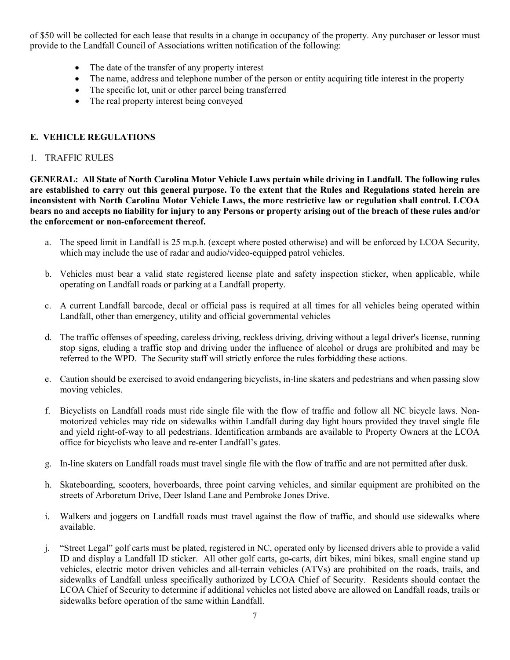of \$50 will be collected for each lease that results in a change in occupancy of the property. Any purchaser or lessor must provide to the Landfall Council of Associations written notification of the following:

- The date of the transfer of any property interest
- The name, address and telephone number of the person or entity acquiring title interest in the property
- The specific lot, unit or other parcel being transferred
- The real property interest being conveyed

## <span id="page-6-0"></span>**E. VEHICLE REGULATIONS**

#### 1. TRAFFIC RULES

**GENERAL: All State of North Carolina Motor Vehicle Laws pertain while driving in Landfall. The following rules are established to carry out this general purpose. To the extent that the Rules and Regulations stated herein are inconsistent with North Carolina Motor Vehicle Laws, the more restrictive law or regulation shall control. LCOA bears no and accepts no liability for injury to any Persons or property arising out of the breach of these rules and/or the enforcement or non-enforcement thereof.**

- a. The speed limit in Landfall is 25 m.p.h. (except where posted otherwise) and will be enforced by LCOA Security, which may include the use of radar and audio/video-equipped patrol vehicles.
- b. Vehicles must bear a valid state registered license plate and safety inspection sticker, when applicable, while operating on Landfall roads or parking at a Landfall property.
- c. A current Landfall barcode, decal or official pass is required at all times for all vehicles being operated within Landfall, other than emergency, utility and official governmental vehicles
- d. The traffic offenses of speeding, careless driving, reckless driving, driving without a legal driver's license, running stop signs, eluding a traffic stop and driving under the influence of alcohol or drugs are prohibited and may be referred to the WPD. The Security staff will strictly enforce the rules forbidding these actions.
- e. Caution should be exercised to avoid endangering bicyclists, in-line skaters and pedestrians and when passing slow moving vehicles.
- f. Bicyclists on Landfall roads must ride single file with the flow of traffic and follow all NC bicycle laws. Nonmotorized vehicles may ride on sidewalks within Landfall during day light hours provided they travel single file and yield right-of-way to all pedestrians. Identification armbands are available to Property Owners at the LCOA office for bicyclists who leave and re-enter Landfall's gates.
- g. In-line skaters on Landfall roads must travel single file with the flow of traffic and are not permitted after dusk.
- h. Skateboarding, scooters, hoverboards, three point carving vehicles, and similar equipment are prohibited on the streets of Arboretum Drive, Deer Island Lane and Pembroke Jones Drive.
- i. Walkers and joggers on Landfall roads must travel against the flow of traffic, and should use sidewalks where available.
- j. "Street Legal" golf carts must be plated, registered in NC, operated only by licensed drivers able to provide a valid ID and display a Landfall ID sticker. All other golf carts, go-carts, dirt bikes, mini bikes, small engine stand up vehicles, electric motor driven vehicles and all-terrain vehicles (ATVs) are prohibited on the roads, trails, and sidewalks of Landfall unless specifically authorized by LCOA Chief of Security. Residents should contact the LCOA Chief of Security to determine if additional vehicles not listed above are allowed on Landfall roads, trails or sidewalks before operation of the same within Landfall.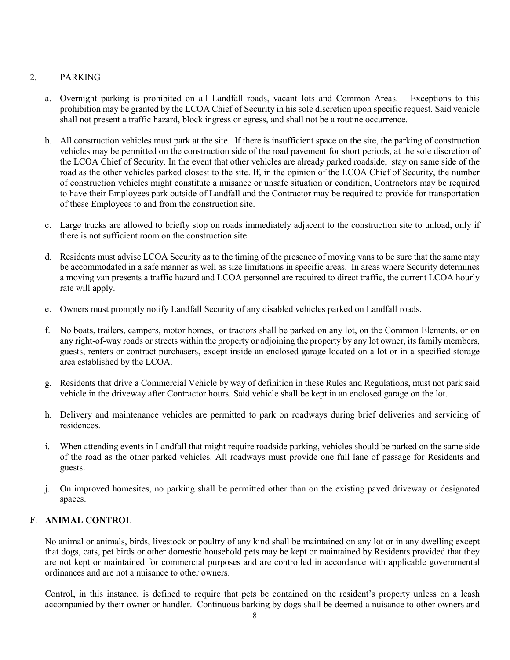## 2. PARKING

- <span id="page-7-0"></span>a. Overnight parking is prohibited on all Landfall roads, vacant lots and Common Areas. Exceptions to this prohibition may be granted by the LCOA Chief of Security in his sole discretion upon specific request. Said vehicle shall not present a traffic hazard, block ingress or egress, and shall not be a routine occurrence.
- b. All construction vehicles must park at the site. If there is insufficient space on the site, the parking of construction vehicles may be permitted on the construction side of the road pavement for short periods, at the sole discretion of the LCOA Chief of Security. In the event that other vehicles are already parked roadside, stay on same side of the road as the other vehicles parked closest to the site. If, in the opinion of the LCOA Chief of Security, the number of construction vehicles might constitute a nuisance or unsafe situation or condition, Contractors may be required to have their Employees park outside of Landfall and the Contractor may be required to provide for transportation of these Employees to and from the construction site.
- c. Large trucks are allowed to briefly stop on roads immediately adjacent to the construction site to unload, only if there is not sufficient room on the construction site.
- d. Residents must advise LCOA Security as to the timing of the presence of moving vans to be sure that the same may be accommodated in a safe manner as well as size limitations in specific areas. In areas where Security determines a moving van presents a traffic hazard and LCOA personnel are required to direct traffic, the current LCOA hourly rate will apply.
- e. Owners must promptly notify Landfall Security of any disabled vehicles parked on Landfall roads.
- f. No boats, trailers, campers, motor homes, or tractors shall be parked on any lot, on the Common Elements, or on any right-of-way roads or streets within the property or adjoining the property by any lot owner, its family members, guests, renters or contract purchasers, except inside an enclosed garage located on a lot or in a specified storage area established by the LCOA.
- g. Residents that drive a Commercial Vehicle by way of definition in these Rules and Regulations, must not park said vehicle in the driveway after Contractor hours. Said vehicle shall be kept in an enclosed garage on the lot.
- h. Delivery and maintenance vehicles are permitted to park on roadways during brief deliveries and servicing of residences.
- i. When attending events in Landfall that might require roadside parking, vehicles should be parked on the same side of the road as the other parked vehicles. All roadways must provide one full lane of passage for Residents and guests.
- j. On improved homesites, no parking shall be permitted other than on the existing paved driveway or designated spaces.

## <span id="page-7-1"></span>F. **ANIMAL CONTROL**

No animal or animals, birds, livestock or poultry of any kind shall be maintained on any lot or in any dwelling except that dogs, cats, pet birds or other domestic household pets may be kept or maintained by Residents provided that they are not kept or maintained for commercial purposes and are controlled in accordance with applicable governmental ordinances and are not a nuisance to other owners.

Control, in this instance, is defined to require that pets be contained on the resident's property unless on a leash accompanied by their owner or handler. Continuous barking by dogs shall be deemed a nuisance to other owners and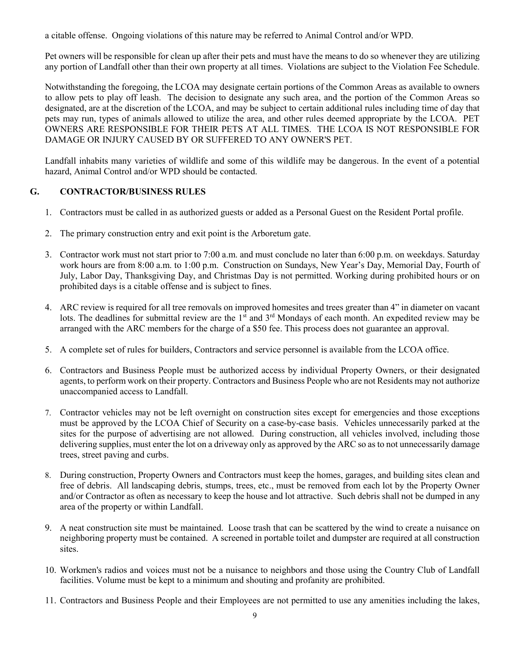a citable offense. Ongoing violations of this nature may be referred to Animal Control and/or WPD.

Pet owners will be responsible for clean up after their pets and must have the means to do so whenever they are utilizing any portion of Landfall other than their own property at all times. Violations are subject to the Violation Fee Schedule.

Notwithstanding the foregoing, the LCOA may designate certain portions of the Common Areas as available to owners to allow pets to play off leash. The decision to designate any such area, and the portion of the Common Areas so designated, are at the discretion of the LCOA, and may be subject to certain additional rules including time of day that pets may run, types of animals allowed to utilize the area, and other rules deemed appropriate by the LCOA. PET OWNERS ARE RESPONSIBLE FOR THEIR PETS AT ALL TIMES. THE LCOA IS NOT RESPONSIBLE FOR DAMAGE OR INJURY CAUSED BY OR SUFFERED TO ANY OWNER'S PET.

Landfall inhabits many varieties of wildlife and some of this wildlife may be dangerous. In the event of a potential hazard, Animal Control and/or WPD should be contacted.

#### **G. CONTRACTOR/BUSINESS RULES**

- <span id="page-8-0"></span>1. Contractors must be called in as authorized guests or added as a Personal Guest on the Resident Portal profile.
- 2. The primary construction entry and exit point is the Arboretum gate.
- 3. Contractor work must not start prior to 7:00 a.m. and must conclude no later than 6:00 p.m. on weekdays. Saturday work hours are from 8:00 a.m. to 1:00 p.m. Construction on Sundays, New Year's Day, Memorial Day, Fourth of July, Labor Day, Thanksgiving Day, and Christmas Day is not permitted. Working during prohibited hours or on prohibited days is a citable offense and is subject to fines.
- 4. ARC review is required for all tree removals on improved homesites and trees greater than 4" in diameter on vacant lots. The deadlines for submittal review are the 1<sup>st</sup> and 3<sup>rd</sup> Mondays of each month. An expedited review may be arranged with the ARC members for the charge of a \$50 fee. This process does not guarantee an approval.
- 5. A complete set of rules for builders, Contractors and service personnel is available from the LCOA office.
- 6. Contractors and Business People must be authorized access by individual Property Owners, or their designated agents, to perform work on their property. Contractors and Business People who are not Residents may not authorize unaccompanied access to Landfall.
- 7. Contractor vehicles may not be left overnight on construction sites except for emergencies and those exceptions must be approved by the LCOA Chief of Security on a case-by-case basis. Vehicles unnecessarily parked at the sites for the purpose of advertising are not allowed. During construction, all vehicles involved, including those delivering supplies, must enter the lot on a driveway only as approved by the ARC so as to not unnecessarily damage trees, street paving and curbs.
- 8. During construction, Property Owners and Contractors must keep the homes, garages, and building sites clean and free of debris. All landscaping debris, stumps, trees, etc., must be removed from each lot by the Property Owner and/or Contractor as often as necessary to keep the house and lot attractive. Such debris shall not be dumped in any area of the property or within Landfall.
- 9. A neat construction site must be maintained. Loose trash that can be scattered by the wind to create a nuisance on neighboring property must be contained. A screened in portable toilet and dumpster are required at all construction sites.
- 10. Workmen's radios and voices must not be a nuisance to neighbors and those using the Country Club of Landfall facilities. Volume must be kept to a minimum and shouting and profanity are prohibited.
- 11. Contractors and Business People and their Employees are not permitted to use any amenities including the lakes,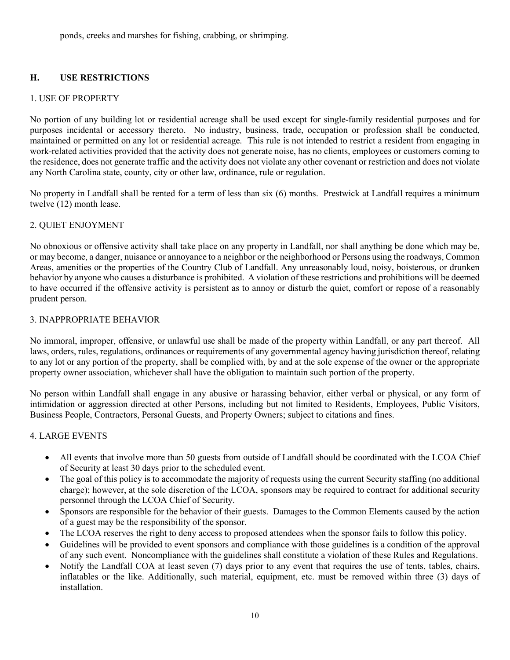ponds, creeks and marshes for fishing, crabbing, or shrimping.

## **H. USE RESTRICTIONS**

## 1. USE OF PROPERTY

No portion of any building lot or residential acreage shall be used except for single-family residential purposes and for purposes incidental or accessory thereto. No industry, business, trade, occupation or profession shall be conducted, maintained or permitted on any lot or residential acreage. This rule is not intended to restrict a resident from engaging in work-related activities provided that the activity does not generate noise, has no clients, employees or customers coming to the residence, does not generate traffic and the activity does not violate any other covenant or restriction and does not violate any North Carolina state, county, city or other law, ordinance, rule or regulation.

No property in Landfall shall be rented for a term of less than six (6) months. Prestwick at Landfall requires a minimum twelve (12) month lease.

## 2. QUIET ENJOYMENT

No obnoxious or offensive activity shall take place on any property in Landfall, nor shall anything be done which may be, or may become, a danger, nuisance or annoyance to a neighbor or the neighborhood or Persons using the roadways, Common Areas, amenities or the properties of the Country Club of Landfall. Any unreasonably loud, noisy, boisterous, or drunken behavior by anyone who causes a disturbance is prohibited. A violation of these restrictions and prohibitions will be deemed to have occurred if the offensive activity is persistent as to annoy or disturb the quiet, comfort or repose of a reasonably prudent person.

#### 3. INAPPROPRIATE BEHAVIOR

No immoral, improper, offensive, or unlawful use shall be made of the property within Landfall, or any part thereof. All laws, orders, rules, regulations, ordinances or requirements of any governmental agency having jurisdiction thereof, relating to any lot or any portion of the property, shall be complied with, by and at the sole expense of the owner or the appropriate property owner association, whichever shall have the obligation to maintain such portion of the property.

No person within Landfall shall engage in any abusive or harassing behavior, either verbal or physical, or any form of intimidation or aggression directed at other Persons, including but not limited to Residents, Employees, Public Visitors, Business People, Contractors, Personal Guests, and Property Owners; subject to citations and fines.

## 4. LARGE EVENTS

- All events that involve more than 50 guests from outside of Landfall should be coordinated with the LCOA Chief of Security at least 30 days prior to the scheduled event.
- The goal of this policy is to accommodate the majority of requests using the current Security staffing (no additional charge); however, at the sole discretion of the LCOA, sponsors may be required to contract for additional security personnel through the LCOA Chief of Security.
- Sponsors are responsible for the behavior of their guests. Damages to the Common Elements caused by the action of a guest may be the responsibility of the sponsor.
- The LCOA reserves the right to deny access to proposed attendees when the sponsor fails to follow this policy.
- Guidelines will be provided to event sponsors and compliance with those guidelines is a condition of the approval of any such event. Noncompliance with the guidelines shall constitute a violation of these Rules and Regulations.
- Notify the Landfall COA at least seven (7) days prior to any event that requires the use of tents, tables, chairs, inflatables or the like. Additionally, such material, equipment, etc. must be removed within three (3) days of installation.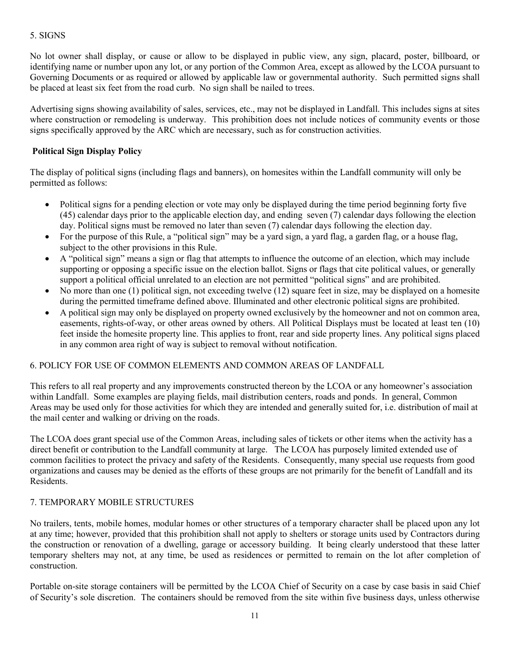## 5. SIGNS

No lot owner shall display, or cause or allow to be displayed in public view, any sign, placard, poster, billboard, or identifying name or number upon any lot, or any portion of the Common Area, except as allowed by the LCOA pursuant to Governing Documents or as required or allowed by applicable law or governmental authority. Such permitted signs shall be placed at least six feet from the road curb. No sign shall be nailed to trees.

Advertising signs showing availability of sales, services, etc., may not be displayed in Landfall. This includes signs at sites where construction or remodeling is underway. This prohibition does not include notices of community events or those signs specifically approved by the ARC which are necessary, such as for construction activities.

#### **Political Sign Display Policy**

The display of political signs (including flags and banners), on homesites within the Landfall community will only be permitted as follows:

- Political signs for a pending election or vote may only be displayed during the time period beginning forty five (45) calendar days prior to the applicable election day, and ending seven (7) calendar days following the election day. Political signs must be removed no later than seven (7) calendar days following the election day.
- For the purpose of this Rule, a "political sign" may be a yard sign, a yard flag, a garden flag, or a house flag, subject to the other provisions in this Rule.
- A "political sign" means a sign or flag that attempts to influence the outcome of an election, which may include supporting or opposing a specific issue on the election ballot. Signs or flags that cite political values, or generally support a political official unrelated to an election are not permitted "political signs" and are prohibited.
- No more than one (1) political sign, not exceeding twelve (12) square feet in size, may be displayed on a homesite during the permitted timeframe defined above. Illuminated and other electronic political signs are prohibited.
- A political sign may only be displayed on property owned exclusively by the homeowner and not on common area, easements, rights-of-way, or other areas owned by others. All Political Displays must be located at least ten (10) feet inside the homesite property line. This applies to front, rear and side property lines. Any political signs placed in any common area right of way is subject to removal without notification.

#### 6. POLICY FOR USE OF COMMON ELEMENTS AND COMMON AREAS OF LANDFALL

This refers to all real property and any improvements constructed thereon by the LCOA or any homeowner's association within Landfall. Some examples are playing fields, mail distribution centers, roads and ponds. In general, Common Areas may be used only for those activities for which they are intended and generally suited for, i.e. distribution of mail at the mail center and walking or driving on the roads.

The LCOA does grant special use of the Common Areas, including sales of tickets or other items when the activity has a direct benefit or contribution to the Landfall community at large. The LCOA has purposely limited extended use of common facilities to protect the privacy and safety of the Residents. Consequently, many special use requests from good organizations and causes may be denied as the efforts of these groups are not primarily for the benefit of Landfall and its Residents.

## 7. TEMPORARY MOBILE STRUCTURES

No trailers, tents, mobile homes, modular homes or other structures of a temporary character shall be placed upon any lot at any time; however, provided that this prohibition shall not apply to shelters or storage units used by Contractors during the construction or renovation of a dwelling, garage or accessory building. It being clearly understood that these latter temporary shelters may not, at any time, be used as residences or permitted to remain on the lot after completion of construction.

Portable on-site storage containers will be permitted by the LCOA Chief of Security on a case by case basis in said Chief of Security's sole discretion. The containers should be removed from the site within five business days, unless otherwise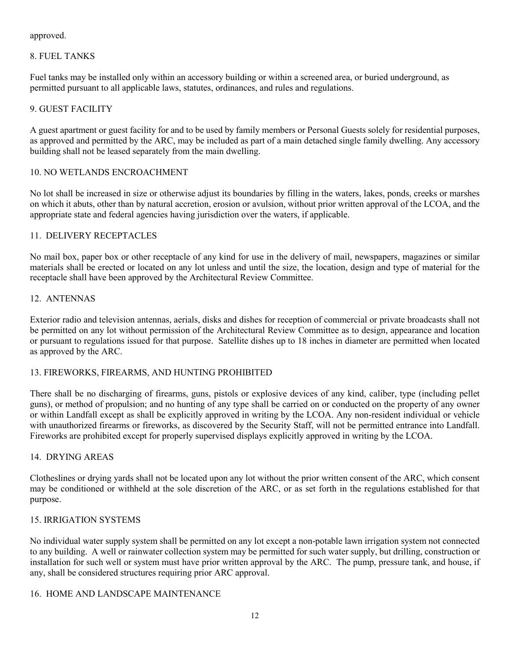approved.

## 8. FUEL TANKS

Fuel tanks may be installed only within an accessory building or within a screened area, or buried underground, as permitted pursuant to all applicable laws, statutes, ordinances, and rules and regulations.

## 9. GUEST FACILITY

A guest apartment or guest facility for and to be used by family members or Personal Guests solely for residential purposes, as approved and permitted by the ARC, may be included as part of a main detached single family dwelling. Any accessory building shall not be leased separately from the main dwelling.

## 10. NO WETLANDS ENCROACHMENT

No lot shall be increased in size or otherwise adjust its boundaries by filling in the waters, lakes, ponds, creeks or marshes on which it abuts, other than by natural accretion, erosion or avulsion, without prior written approval of the LCOA, and the appropriate state and federal agencies having jurisdiction over the waters, if applicable.

## 11. DELIVERY RECEPTACLES

No mail box, paper box or other receptacle of any kind for use in the delivery of mail, newspapers, magazines or similar materials shall be erected or located on any lot unless and until the size, the location, design and type of material for the receptacle shall have been approved by the Architectural Review Committee.

## 12. ANTENNAS

Exterior radio and television antennas, aerials, disks and dishes for reception of commercial or private broadcasts shall not be permitted on any lot without permission of the Architectural Review Committee as to design, appearance and location or pursuant to regulations issued for that purpose. Satellite dishes up to 18 inches in diameter are permitted when located as approved by the ARC.

## 13. FIREWORKS, FIREARMS, AND HUNTING PROHIBITED

There shall be no discharging of firearms, guns, pistols or explosive devices of any kind, caliber, type (including pellet guns), or method of propulsion; and no hunting of any type shall be carried on or conducted on the property of any owner or within Landfall except as shall be explicitly approved in writing by the LCOA. Any non-resident individual or vehicle with unauthorized firearms or fireworks, as discovered by the Security Staff, will not be permitted entrance into Landfall. Fireworks are prohibited except for properly supervised displays explicitly approved in writing by the LCOA.

## 14. DRYING AREAS

Clotheslines or drying yards shall not be located upon any lot without the prior written consent of the ARC, which consent may be conditioned or withheld at the sole discretion of the ARC, or as set forth in the regulations established for that purpose.

## 15. IRRIGATION SYSTEMS

No individual water supply system shall be permitted on any lot except a non-potable lawn irrigation system not connected to any building. A well or rainwater collection system may be permitted for such water supply, but drilling, construction or installation for such well or system must have prior written approval by the ARC. The pump, pressure tank, and house, if any, shall be considered structures requiring prior ARC approval.

## <span id="page-11-0"></span>16. HOME AND LANDSCAPE MAINTENANCE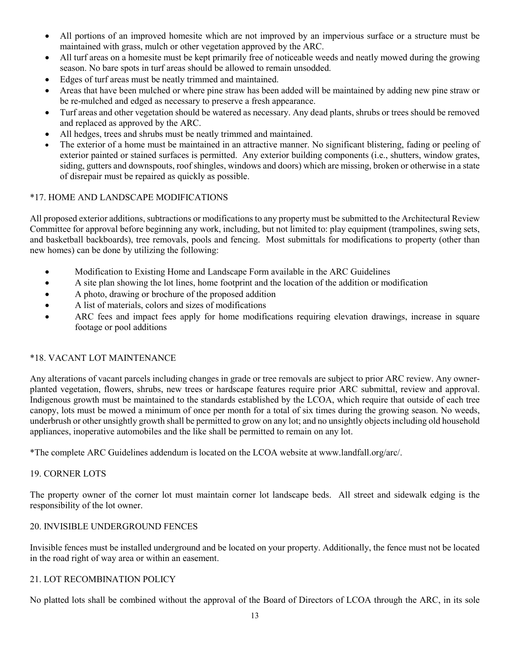- All portions of an improved homesite which are not improved by an impervious surface or a structure must be maintained with grass, mulch or other vegetation approved by the ARC.
- All turf areas on a homesite must be kept primarily free of noticeable weeds and neatly mowed during the growing season. No bare spots in turf areas should be allowed to remain unsodded.
- Edges of turf areas must be neatly trimmed and maintained.
- Areas that have been mulched or where pine straw has been added will be maintained by adding new pine straw or be re-mulched and edged as necessary to preserve a fresh appearance.
- Turf areas and other vegetation should be watered as necessary. Any dead plants, shrubs or trees should be removed and replaced as approved by the ARC.
- All hedges, trees and shrubs must be neatly trimmed and maintained.
- The exterior of a home must be maintained in an attractive manner. No significant blistering, fading or peeling of exterior painted or stained surfaces is permitted. Any exterior building components (i.e., shutters, window grates, siding, gutters and downspouts, roof shingles, windows and doors) which are missing, broken or otherwise in a state of disrepair must be repaired as quickly as possible.

#### \*17. HOME AND LANDSCAPE MODIFICATIONS

All proposed exterior additions, subtractions or modifications to any property must be submitted to the Architectural Review Committee for approval before beginning any work, including, but not limited to: play equipment (trampolines, swing sets, and basketball backboards), tree removals, pools and fencing. Most submittals for modifications to property (other than new homes) can be done by utilizing the following:

- Modification to Existing Home and Landscape Form available in the ARC Guidelines
- A site plan showing the lot lines, home footprint and the location of the addition or modification
- A photo, drawing or brochure of the proposed addition
- A list of materials, colors and sizes of modifications
- ARC fees and impact fees apply for home modifications requiring elevation drawings, increase in square footage or pool additions

#### <span id="page-12-0"></span>\*18. VACANT LOT MAINTENANCE

Any alterations of vacant parcels including changes in grade or tree removals are subject to prior ARC review. Any ownerplanted vegetation, flowers, shrubs, new trees or hardscape features require prior ARC submittal, review and approval. Indigenous growth must be maintained to the standards established by the LCOA, which require that outside of each tree canopy, lots must be mowed a minimum of once per month for a total of six times during the growing season. No weeds, underbrush or other unsightly growth shall be permitted to grow on any lot; and no unsightly objects including old household appliances, inoperative automobiles and the like shall be permitted to remain on any lot.

\*The complete ARC Guidelines addendum is located on the LCOA website at www.landfall.org/arc/.

#### 19. CORNER LOTS

The property owner of the corner lot must maintain corner lot landscape beds. All street and sidewalk edging is the responsibility of the lot owner.

#### 20. INVISIBLE UNDERGROUND FENCES

Invisible fences must be installed underground and be located on your property. Additionally, the fence must not be located in the road right of way area or within an easement.

#### <span id="page-12-1"></span>21. LOT RECOMBINATION POLICY

No platted lots shall be combined without the approval of the Board of Directors of LCOA through the ARC, in its sole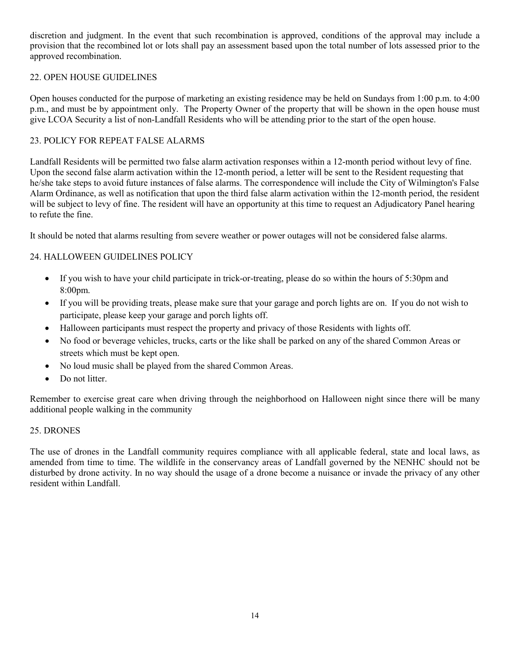discretion and judgment. In the event that such recombination is approved, conditions of the approval may include a provision that the recombined lot or lots shall pay an assessment based upon the total number of lots assessed prior to the approved recombination.

## <span id="page-13-0"></span>22. OPEN HOUSE GUIDELINES

Open houses conducted for the purpose of marketing an existing residence may be held on Sundays from 1:00 p.m. to 4:00 p.m., and must be by appointment only. The Property Owner of the property that will be shown in the open house must give LCOA Security a list of non-Landfall Residents who will be attending prior to the start of the open house.

#### 23. POLICY FOR REPEAT FALSE ALARMS

Landfall Residents will be permitted two false alarm activation responses within a 12-month period without levy of fine. Upon the second false alarm activation within the 12-month period, a letter will be sent to the Resident requesting that he/she take steps to avoid future instances of false alarms. The correspondence will include the City of Wilmington's False Alarm Ordinance, as well as notification that upon the third false alarm activation within the 12-month period, the resident will be subject to levy of fine. The resident will have an opportunity at this time to request an Adjudicatory Panel hearing to refute the fine.

It should be noted that alarms resulting from severe weather or power outages will not be considered false alarms.

## 24. HALLOWEEN GUIDELINES POLICY

- If you wish to have your child participate in trick-or-treating, please do so within the hours of 5:30pm and 8:00pm.
- If you will be providing treats, please make sure that your garage and porch lights are on. If you do not wish to participate, please keep your garage and porch lights off.
- Halloween participants must respect the property and privacy of those Residents with lights off.
- No food or beverage vehicles, trucks, carts or the like shall be parked on any of the shared Common Areas or streets which must be kept open.
- No loud music shall be played from the shared Common Areas.
- Do not litter.

Remember to exercise great care when driving through the neighborhood on Halloween night since there will be many additional people walking in the community

#### 25. DRONES

The use of drones in the Landfall community requires compliance with all applicable federal, state and local laws, as amended from time to time. The wildlife in the conservancy areas of Landfall governed by the NENHC should not be disturbed by drone activity. In no way should the usage of a drone become a nuisance or invade the privacy of any other resident within Landfall.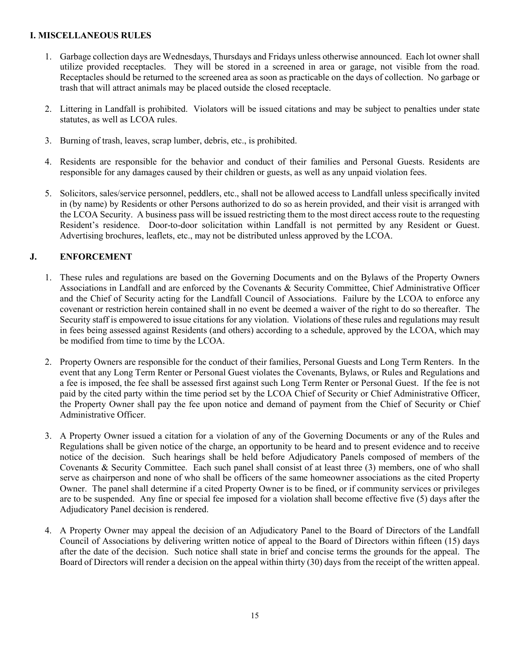#### <span id="page-14-0"></span>**I. MISCELLANEOUS RULES**

- 1. Garbage collection days are Wednesdays, Thursdays and Fridays unless otherwise announced. Each lot owner shall utilize provided receptacles. They will be stored in a screened in area or garage, not visible from the road. Receptacles should be returned to the screened area as soon as practicable on the days of collection. No garbage or trash that will attract animals may be placed outside the closed receptacle.
- 2. Littering in Landfall is prohibited. Violators will be issued citations and may be subject to penalties under state statutes, as well as LCOA rules.
- 3. Burning of trash, leaves, scrap lumber, debris, etc., is prohibited.
- 4. Residents are responsible for the behavior and conduct of their families and Personal Guests. Residents are responsible for any damages caused by their children or guests, as well as any unpaid violation fees.
- 5. Solicitors, sales/service personnel, peddlers, etc., shall not be allowed access to Landfall unless specifically invited in (by name) by Residents or other Persons authorized to do so as herein provided, and their visit is arranged with the LCOA Security. A business pass will be issued restricting them to the most direct access route to the requesting Resident's residence. Door-to-door solicitation within Landfall is not permitted by any Resident or Guest. Advertising brochures, leaflets, etc., may not be distributed unless approved by the LCOA.

## **J. ENFORCEMENT**

- <span id="page-14-1"></span>1. These rules and regulations are based on the Governing Documents and on the Bylaws of the Property Owners Associations in Landfall and are enforced by the Covenants & Security Committee, Chief Administrative Officer and the Chief of Security acting for the Landfall Council of Associations. Failure by the LCOA to enforce any covenant or restriction herein contained shall in no event be deemed a waiver of the right to do so thereafter. The Security staff is empowered to issue citations for any violation. Violations of these rules and regulations may result in fees being assessed against Residents (and others) according to a schedule, approved by the LCOA, which may be modified from time to time by the LCOA.
- 2. Property Owners are responsible for the conduct of their families, Personal Guests and Long Term Renters. In the event that any Long Term Renter or Personal Guest violates the Covenants, Bylaws, or Rules and Regulations and a fee is imposed, the fee shall be assessed first against such Long Term Renter or Personal Guest. If the fee is not paid by the cited party within the time period set by the LCOA Chief of Security or Chief Administrative Officer, the Property Owner shall pay the fee upon notice and demand of payment from the Chief of Security or Chief Administrative Officer.
- 3. A Property Owner issued a citation for a violation of any of the Governing Documents or any of the Rules and Regulations shall be given notice of the charge, an opportunity to be heard and to present evidence and to receive notice of the decision. Such hearings shall be held before Adjudicatory Panels composed of members of the Covenants & Security Committee. Each such panel shall consist of at least three (3) members, one of who shall serve as chairperson and none of who shall be officers of the same homeowner associations as the cited Property Owner. The panel shall determine if a cited Property Owner is to be fined, or if community services or privileges are to be suspended. Any fine or special fee imposed for a violation shall become effective five (5) days after the Adjudicatory Panel decision is rendered.
- 4. A Property Owner may appeal the decision of an Adjudicatory Panel to the Board of Directors of the Landfall Council of Associations by delivering written notice of appeal to the Board of Directors within fifteen (15) days after the date of the decision. Such notice shall state in brief and concise terms the grounds for the appeal. The Board of Directors will render a decision on the appeal within thirty (30) days from the receipt of the written appeal.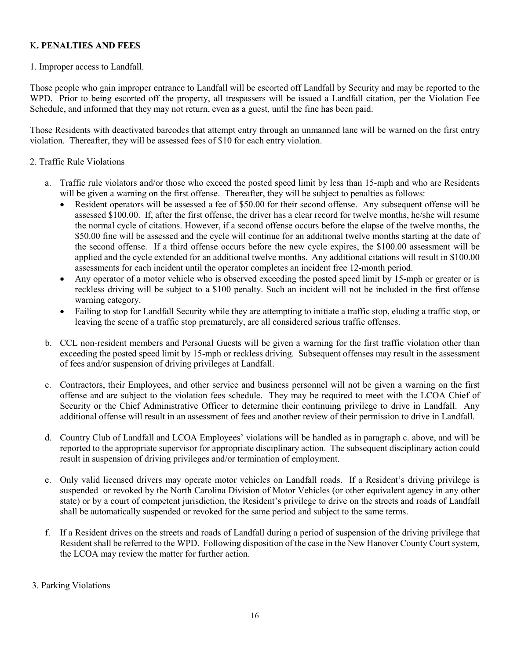## <span id="page-15-0"></span>K**. PENALTIES AND FEES**

#### 1. Improper access to Landfall.

Those people who gain improper entrance to Landfall will be escorted off Landfall by Security and may be reported to the WPD. Prior to being escorted off the property, all trespassers will be issued a Landfall citation, per the Violation Fee Schedule, and informed that they may not return, even as a guest, until the fine has been paid.

Those Residents with deactivated barcodes that attempt entry through an unmanned lane will be warned on the first entry violation. Thereafter, they will be assessed fees of \$10 for each entry violation.

#### 2. Traffic Rule Violations

- a. Traffic rule violators and/or those who exceed the posted speed limit by less than 15-mph and who are Residents will be given a warning on the first offense. Thereafter, they will be subject to penalties as follows:
	- Resident operators will be assessed a fee of \$50.00 for their second offense. Any subsequent offense will be assessed \$100.00. If, after the first offense, the driver has a clear record for twelve months, he/she will resume the normal cycle of citations. However, if a second offense occurs before the elapse of the twelve months, the \$50.00 fine will be assessed and the cycle will continue for an additional twelve months starting at the date of the second offense. If a third offense occurs before the new cycle expires, the \$100.00 assessment will be applied and the cycle extended for an additional twelve months. Any additional citations will result in \$100.00 assessments for each incident until the operator completes an incident free 12-month period.
	- Any operator of a motor vehicle who is observed exceeding the posted speed limit by 15-mph or greater or is reckless driving will be subject to a \$100 penalty. Such an incident will not be included in the first offense warning category.
	- Failing to stop for Landfall Security while they are attempting to initiate a traffic stop, eluding a traffic stop, or leaving the scene of a traffic stop prematurely, are all considered serious traffic offenses.
- b. CCL non-resident members and Personal Guests will be given a warning for the first traffic violation other than exceeding the posted speed limit by 15-mph or reckless driving. Subsequent offenses may result in the assessment of fees and/or suspension of driving privileges at Landfall.
- c. Contractors, their Employees, and other service and business personnel will not be given a warning on the first offense and are subject to the violation fees schedule. They may be required to meet with the LCOA Chief of Security or the Chief Administrative Officer to determine their continuing privilege to drive in Landfall. Any additional offense will result in an assessment of fees and another review of their permission to drive in Landfall.
- d. Country Club of Landfall and LCOA Employees' violations will be handled as in paragraph c. above, and will be reported to the appropriate supervisor for appropriate disciplinary action. The subsequent disciplinary action could result in suspension of driving privileges and/or termination of employment.
- e. Only valid licensed drivers may operate motor vehicles on Landfall roads. If a Resident's driving privilege is suspended or revoked by the North Carolina Division of Motor Vehicles (or other equivalent agency in any other state) or by a court of competent jurisdiction, the Resident's privilege to drive on the streets and roads of Landfall shall be automatically suspended or revoked for the same period and subject to the same terms.
- f. If a Resident drives on the streets and roads of Landfall during a period of suspension of the driving privilege that Resident shall be referred to the WPD. Following disposition of the case in the New Hanover County Court system, the LCOA may review the matter for further action.

## 3. Parking Violations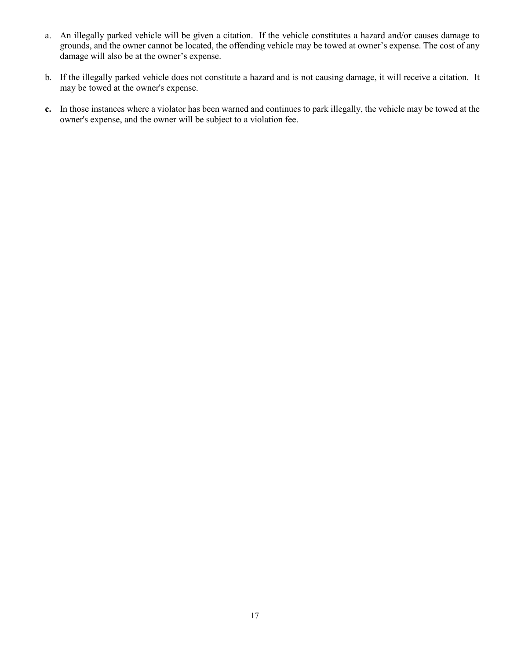- a. An illegally parked vehicle will be given a citation. If the vehicle constitutes a hazard and/or causes damage to grounds, and the owner cannot be located, the offending vehicle may be towed at owner's expense. The cost of any damage will also be at the owner's expense.
- b. If the illegally parked vehicle does not constitute a hazard and is not causing damage, it will receive a citation. It may be towed at the owner's expense.
- **c.** In those instances where a violator has been warned and continues to park illegally, the vehicle may be towed at the owner's expense, and the owner will be subject to a violation fee.